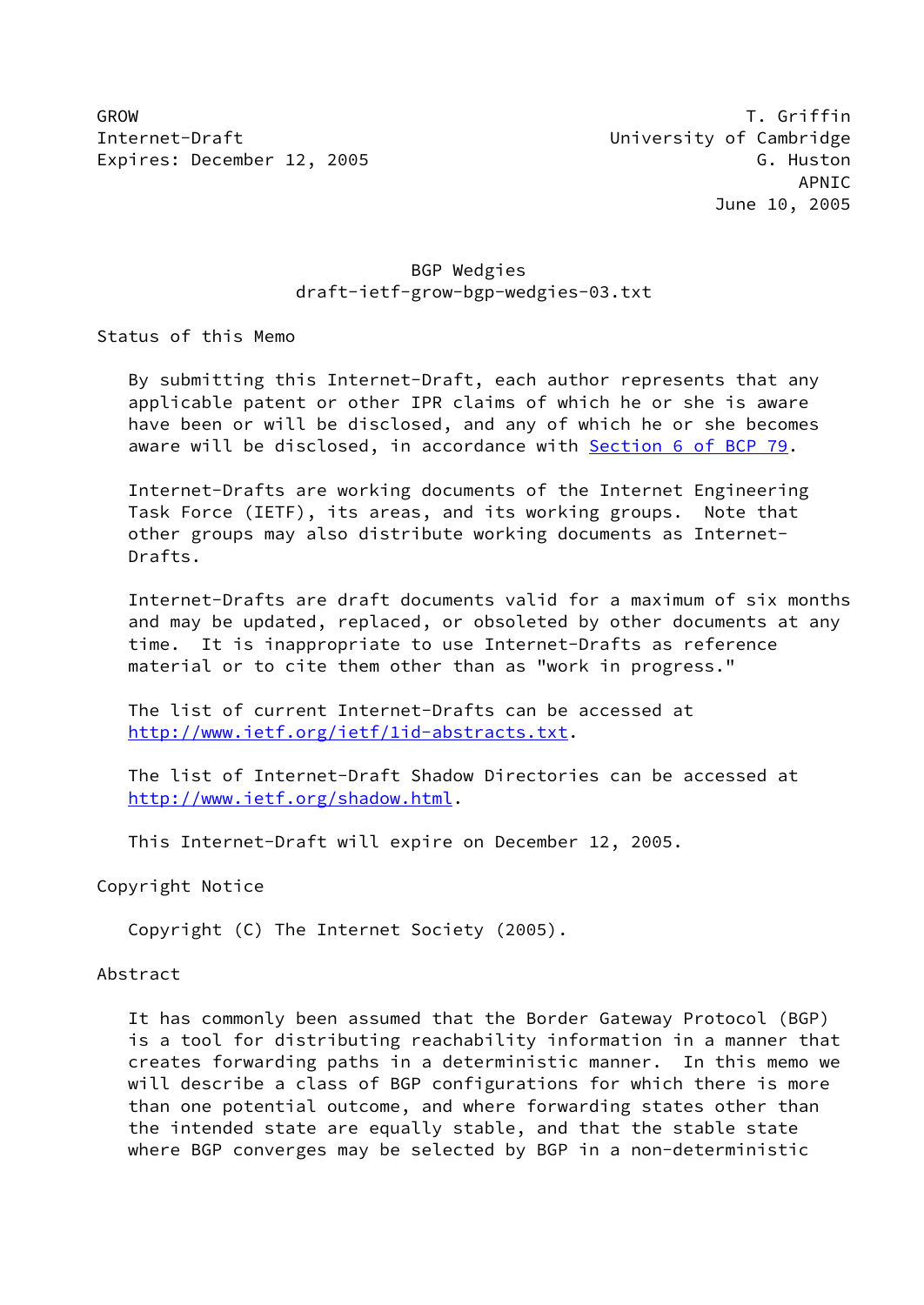GROW T. Griffin Internet-Draft University of Cambridge Expires: December 12, 2005 G. Huston G. Huston

## BGP Wedgies draft-ietf-grow-bgp-wedgies-03.txt

Status of this Memo

 By submitting this Internet-Draft, each author represents that any applicable patent or other IPR claims of which he or she is aware have been or will be disclosed, and any of which he or she becomes aware will be disclosed, in accordance with Section [6 of BCP 79.](https://datatracker.ietf.org/doc/pdf/bcp79#section-6)

 Internet-Drafts are working documents of the Internet Engineering Task Force (IETF), its areas, and its working groups. Note that other groups may also distribute working documents as Internet- Drafts.

 Internet-Drafts are draft documents valid for a maximum of six months and may be updated, replaced, or obsoleted by other documents at any time. It is inappropriate to use Internet-Drafts as reference material or to cite them other than as "work in progress."

 The list of current Internet-Drafts can be accessed at <http://www.ietf.org/ietf/1id-abstracts.txt>.

 The list of Internet-Draft Shadow Directories can be accessed at <http://www.ietf.org/shadow.html>.

This Internet-Draft will expire on December 12, 2005.

Copyright Notice

Copyright (C) The Internet Society (2005).

### Abstract

 It has commonly been assumed that the Border Gateway Protocol (BGP) is a tool for distributing reachability information in a manner that creates forwarding paths in a deterministic manner. In this memo we will describe a class of BGP configurations for which there is more than one potential outcome, and where forwarding states other than the intended state are equally stable, and that the stable state where BGP converges may be selected by BGP in a non-deterministic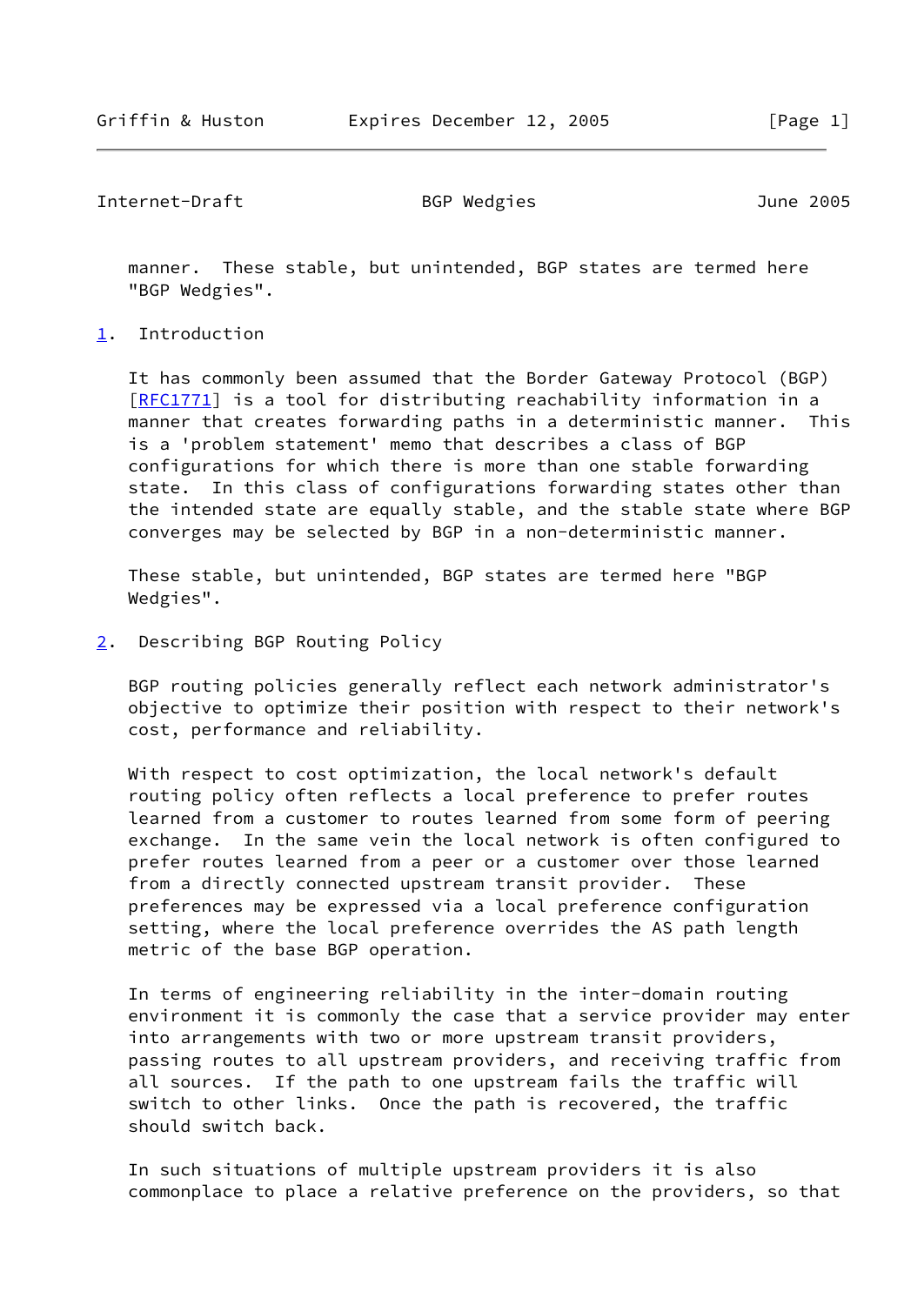Internet-Draft BGP Wedgies June 2005

 manner. These stable, but unintended, BGP states are termed here "BGP Wedgies".

## <span id="page-1-0"></span>[1](#page-1-0). Introduction

 It has commonly been assumed that the Border Gateway Protocol (BGP) [\[RFC1771](https://datatracker.ietf.org/doc/pdf/rfc1771)] is a tool for distributing reachability information in a manner that creates forwarding paths in a deterministic manner. This is a 'problem statement' memo that describes a class of BGP configurations for which there is more than one stable forwarding state. In this class of configurations forwarding states other than the intended state are equally stable, and the stable state where BGP converges may be selected by BGP in a non-deterministic manner.

 These stable, but unintended, BGP states are termed here "BGP Wedgies".

<span id="page-1-1"></span>[2](#page-1-1). Describing BGP Routing Policy

 BGP routing policies generally reflect each network administrator's objective to optimize their position with respect to their network's cost, performance and reliability.

 With respect to cost optimization, the local network's default routing policy often reflects a local preference to prefer routes learned from a customer to routes learned from some form of peering exchange. In the same vein the local network is often configured to prefer routes learned from a peer or a customer over those learned from a directly connected upstream transit provider. These preferences may be expressed via a local preference configuration setting, where the local preference overrides the AS path length metric of the base BGP operation.

 In terms of engineering reliability in the inter-domain routing environment it is commonly the case that a service provider may enter into arrangements with two or more upstream transit providers, passing routes to all upstream providers, and receiving traffic from all sources. If the path to one upstream fails the traffic will switch to other links. Once the path is recovered, the traffic should switch back.

 In such situations of multiple upstream providers it is also commonplace to place a relative preference on the providers, so that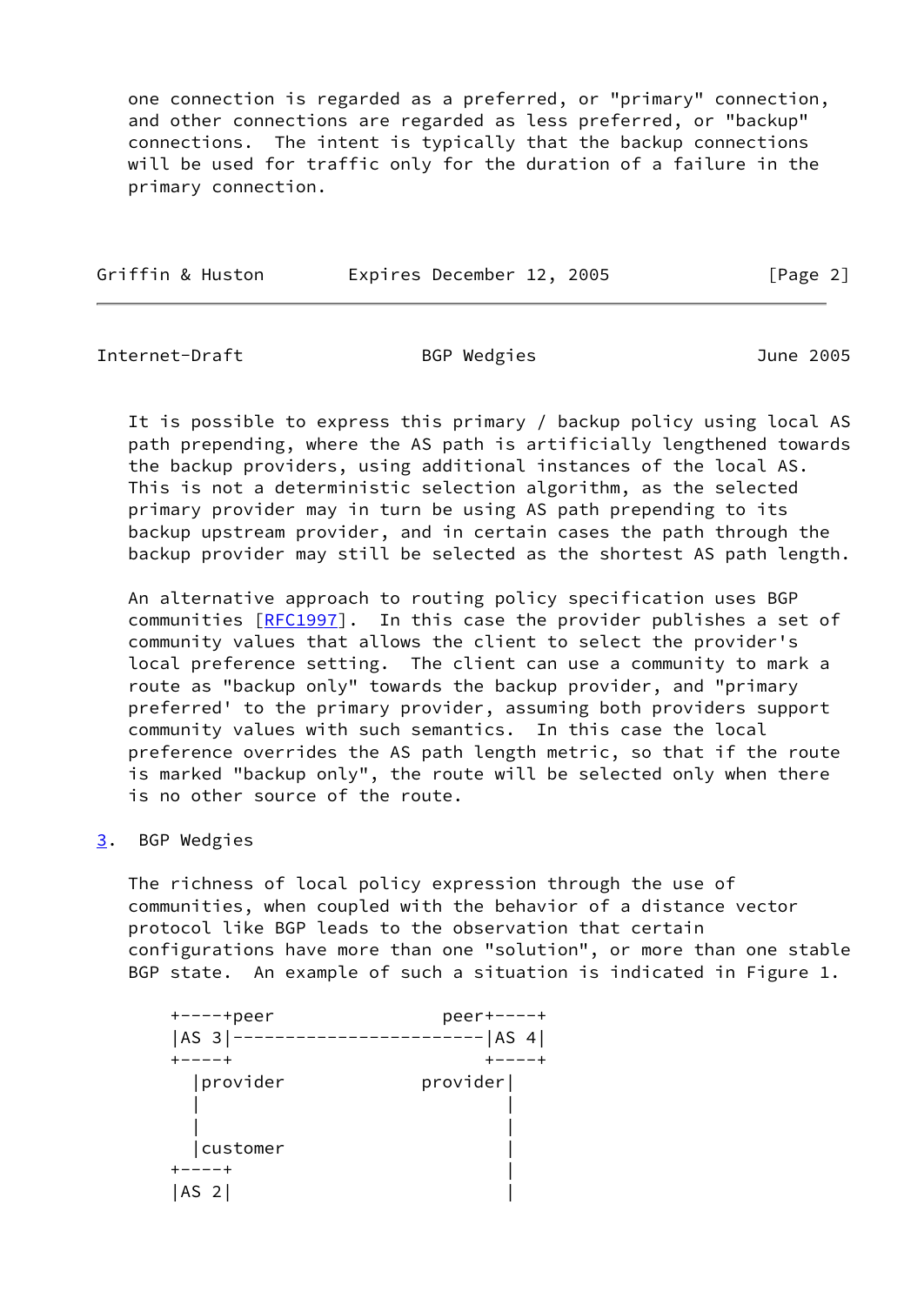one connection is regarded as a preferred, or "primary" connection, and other connections are regarded as less preferred, or "backup" connections. The intent is typically that the backup connections will be used for traffic only for the duration of a failure in the primary connection.

| Griffin & Huston | Expires December 12, 2005 | [Page 2] |
|------------------|---------------------------|----------|
|                  |                           |          |

Internet-Draft BGP Wedgies June 2005

 It is possible to express this primary / backup policy using local AS path prepending, where the AS path is artificially lengthened towards the backup providers, using additional instances of the local AS. This is not a deterministic selection algorithm, as the selected primary provider may in turn be using AS path prepending to its backup upstream provider, and in certain cases the path through the backup provider may still be selected as the shortest AS path length.

 An alternative approach to routing policy specification uses BGP communities [\[RFC1997](https://datatracker.ietf.org/doc/pdf/rfc1997)]. In this case the provider publishes a set of community values that allows the client to select the provider's local preference setting. The client can use a community to mark a route as "backup only" towards the backup provider, and "primary preferred' to the primary provider, assuming both providers support community values with such semantics. In this case the local preference overrides the AS path length metric, so that if the route is marked "backup only", the route will be selected only when there is no other source of the route.

## <span id="page-2-0"></span>[3](#page-2-0). BGP Wedgies

 The richness of local policy expression through the use of communities, when coupled with the behavior of a distance vector protocol like BGP leads to the observation that certain configurations have more than one "solution", or more than one stable BGP state. An example of such a situation is indicated in Figure 1.

| $+---+peer$     | $peer+---+$ |
|-----------------|-------------|
| $ AS3 $ –       | $--- AS 4 $ |
| -----+          |             |
| provider        | provider    |
|                 |             |
|                 |             |
| customer        |             |
|                 |             |
| AS <sub>2</sub> |             |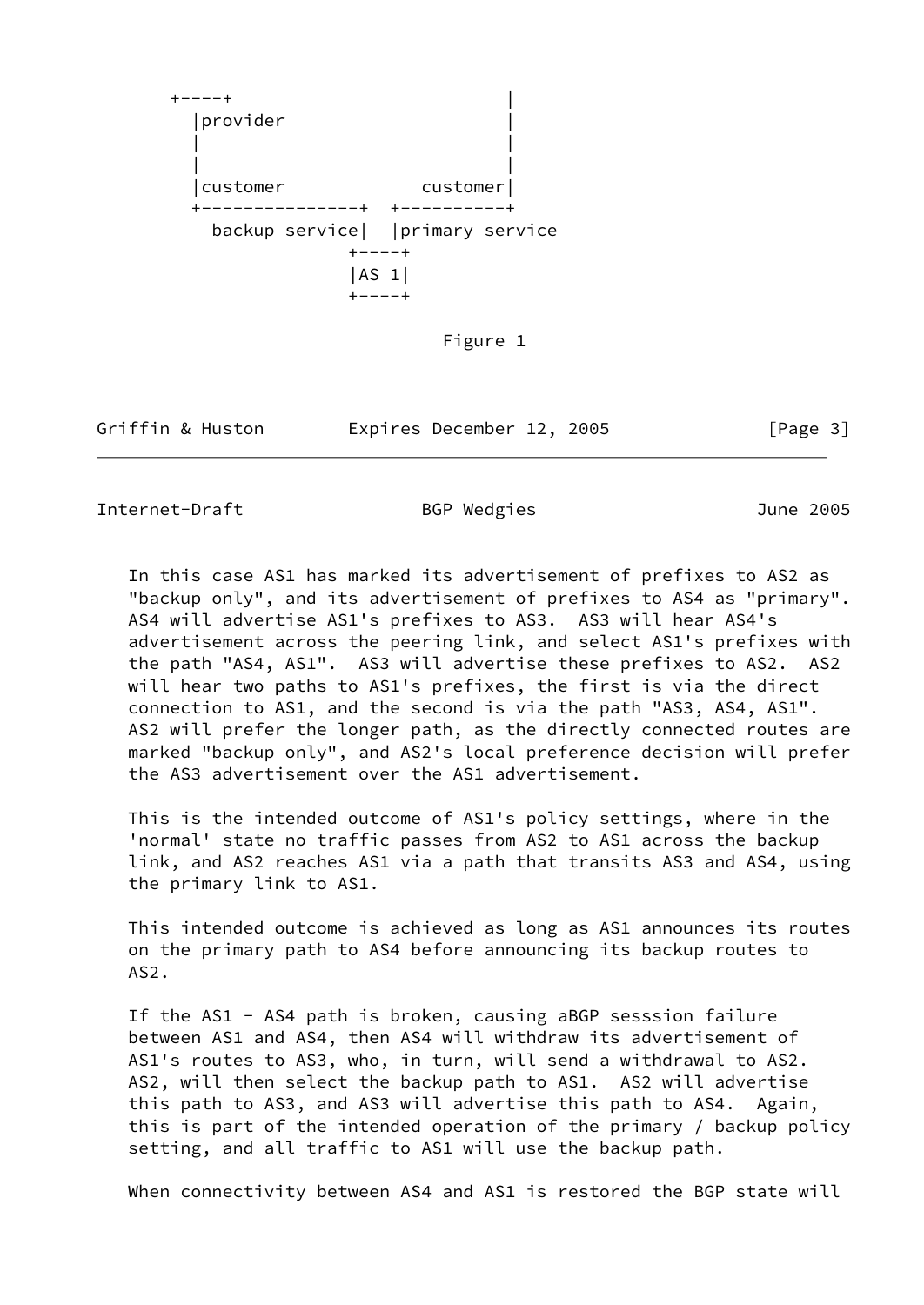$+ - - - +$  |provider | | | | | |customer customer| +---------------+ +----------+ backup service| |primary service  $+ - - - +$  |AS 1|  $+ - - - +$ 

Figure 1

Griffin & Huston **Expires December 12, 2005** [Page 3]

Internet-Draft BGP Wedgies June 2005

 In this case AS1 has marked its advertisement of prefixes to AS2 as "backup only", and its advertisement of prefixes to AS4 as "primary". AS4 will advertise AS1's prefixes to AS3. AS3 will hear AS4's advertisement across the peering link, and select AS1's prefixes with the path "AS4, AS1". AS3 will advertise these prefixes to AS2. AS2 will hear two paths to AS1's prefixes, the first is via the direct connection to AS1, and the second is via the path "AS3, AS4, AS1". AS2 will prefer the longer path, as the directly connected routes are marked "backup only", and AS2's local preference decision will prefer the AS3 advertisement over the AS1 advertisement.

 This is the intended outcome of AS1's policy settings, where in the 'normal' state no traffic passes from AS2 to AS1 across the backup link, and AS2 reaches AS1 via a path that transits AS3 and AS4, using the primary link to AS1.

 This intended outcome is achieved as long as AS1 announces its routes on the primary path to AS4 before announcing its backup routes to AS2.

 If the AS1 - AS4 path is broken, causing aBGP sesssion failure between AS1 and AS4, then AS4 will withdraw its advertisement of AS1's routes to AS3, who, in turn, will send a withdrawal to AS2. AS2, will then select the backup path to AS1. AS2 will advertise this path to AS3, and AS3 will advertise this path to AS4. Again, this is part of the intended operation of the primary / backup policy setting, and all traffic to AS1 will use the backup path.

When connectivity between AS4 and AS1 is restored the BGP state will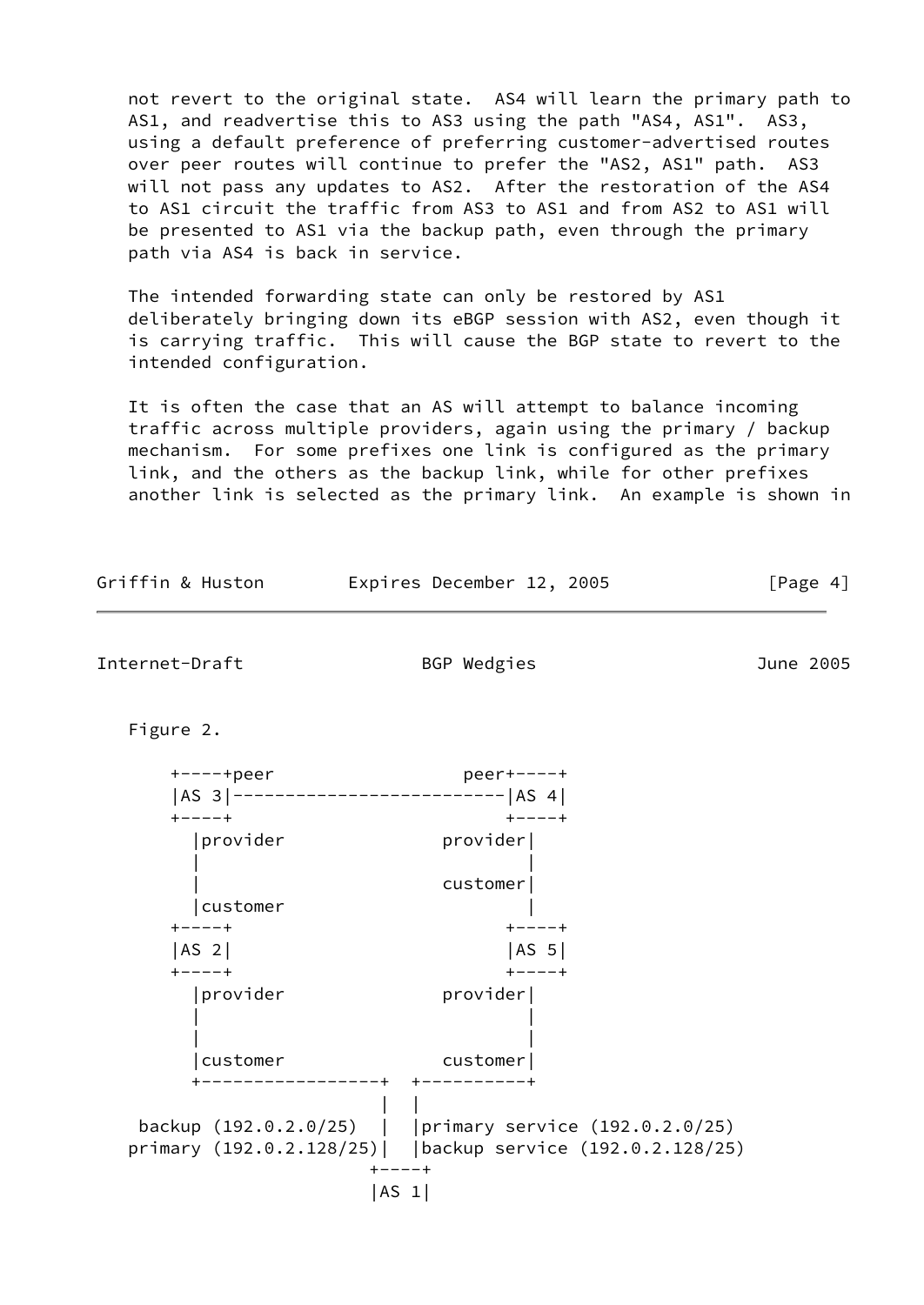not revert to the original state. AS4 will learn the primary path to AS1, and readvertise this to AS3 using the path "AS4, AS1". AS3, using a default preference of preferring customer-advertised routes over peer routes will continue to prefer the "AS2, AS1" path. AS3 will not pass any updates to AS2. After the restoration of the AS4 to AS1 circuit the traffic from AS3 to AS1 and from AS2 to AS1 will be presented to AS1 via the backup path, even through the primary path via AS4 is back in service.

 The intended forwarding state can only be restored by AS1 deliberately bringing down its eBGP session with AS2, even though it is carrying traffic. This will cause the BGP state to revert to the intended configuration.

 It is often the case that an AS will attempt to balance incoming traffic across multiple providers, again using the primary / backup mechanism. For some prefixes one link is configured as the primary link, and the others as the backup link, while for other prefixes another link is selected as the primary link. An example is shown in

| Griffin & Huston                       | Expires December 12, 2005                                                                                                                                  | [Page $4$ ] |  |  |
|----------------------------------------|------------------------------------------------------------------------------------------------------------------------------------------------------------|-------------|--|--|
| Internet-Draft                         | BGP Wedgies                                                                                                                                                | June 2005   |  |  |
| Figure 2.                              |                                                                                                                                                            |             |  |  |
| $+---+peer$                            | $peer+---+$<br>  AS 3   ---------------------------   AS 4                                                                                                 |             |  |  |
| $+ - - - +$<br> provider<br>customer   | $+ - - - +$<br>provider <br>customer                                                                                                                       |             |  |  |
| $+ - - - +$<br>$ AS_2 $<br>$+ - - - +$ | $+ - - - +$<br> AS 5 <br>$+ - - - +$                                                                                                                       |             |  |  |
| provider<br>customer                   | provider <br>customer                                                                                                                                      |             |  |  |
|                                        | --------+ +----------+<br>backup (192.0.2.0/25)     primary service (192.0.2.0/25)<br>primary (192.0.2.128/25)   backup service (192.0.2.128/25)<br>+----+ |             |  |  |
|                                        | AS 1                                                                                                                                                       |             |  |  |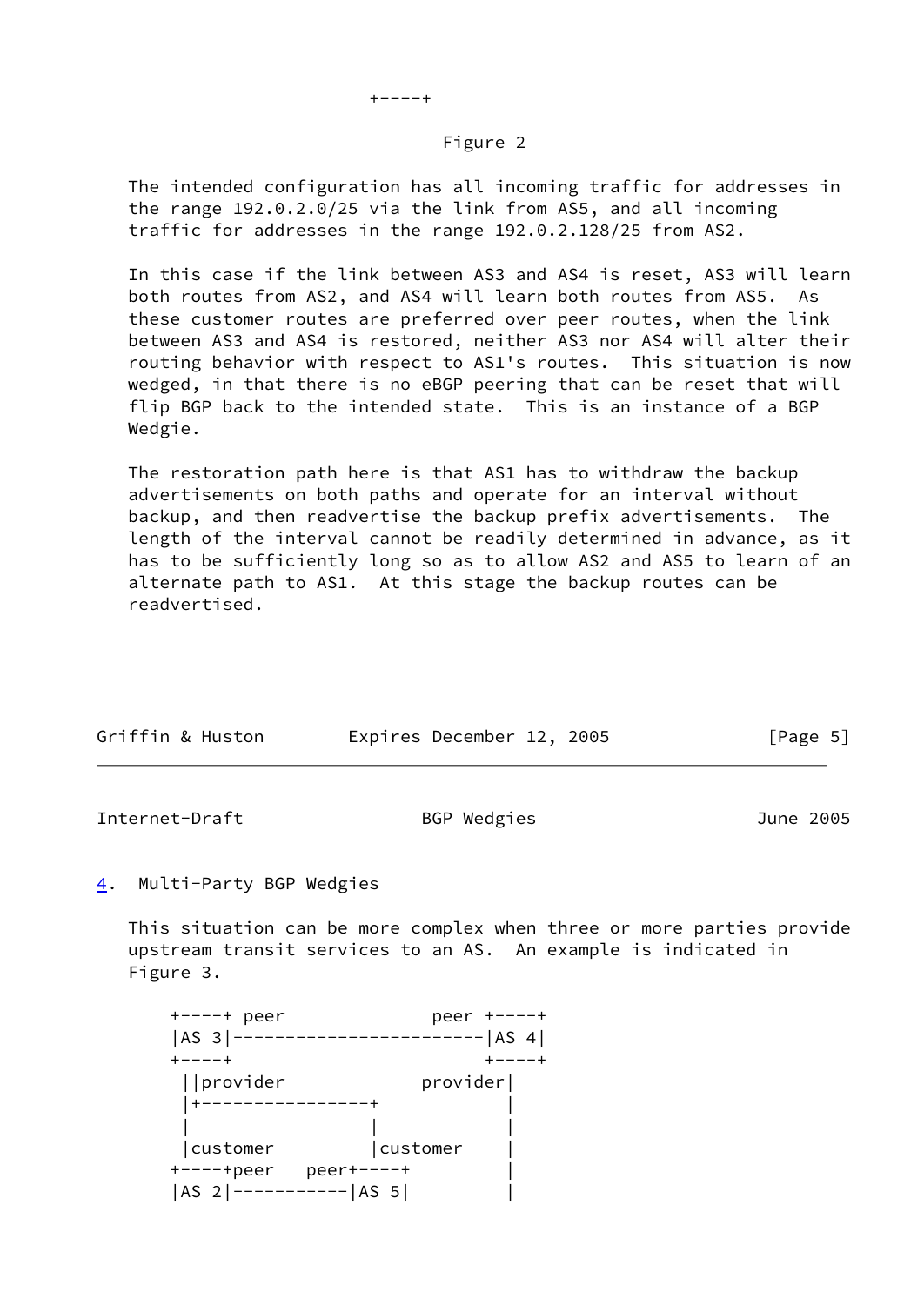## Figure 2

 The intended configuration has all incoming traffic for addresses in the range 192.0.2.0/25 via the link from AS5, and all incoming traffic for addresses in the range 192.0.2.128/25 from AS2.

 In this case if the link between AS3 and AS4 is reset, AS3 will learn both routes from AS2, and AS4 will learn both routes from AS5. As these customer routes are preferred over peer routes, when the link between AS3 and AS4 is restored, neither AS3 nor AS4 will alter their routing behavior with respect to AS1's routes. This situation is now wedged, in that there is no eBGP peering that can be reset that will flip BGP back to the intended state. This is an instance of a BGP Wedgie.

 The restoration path here is that AS1 has to withdraw the backup advertisements on both paths and operate for an interval without backup, and then readvertise the backup prefix advertisements. The length of the interval cannot be readily determined in advance, as it has to be sufficiently long so as to allow AS2 and AS5 to learn of an alternate path to AS1. At this stage the backup routes can be readvertised.

| Griffin & Huston | Expires December 12, 2005 |  | [Page 5] |  |
|------------------|---------------------------|--|----------|--|

Internet-Draft BGP Wedgies June 2005

## <span id="page-5-0"></span>[4](#page-5-0). Multi-Party BGP Wedgies

 This situation can be more complex when three or more parties provide upstream transit services to an AS. An example is indicated in Figure 3.

| $+---+$ peer          | peer +----+   |
|-----------------------|---------------|
| $ AS 3 -----$         | $----- AS 4 $ |
| $+ - - - - +$         |               |
| provider              | provider      |
|                       |               |
|                       |               |
| customer              | customer      |
| $+---+peer$           | $peer+---+$   |
| AS 2 ----------- AS 5 |               |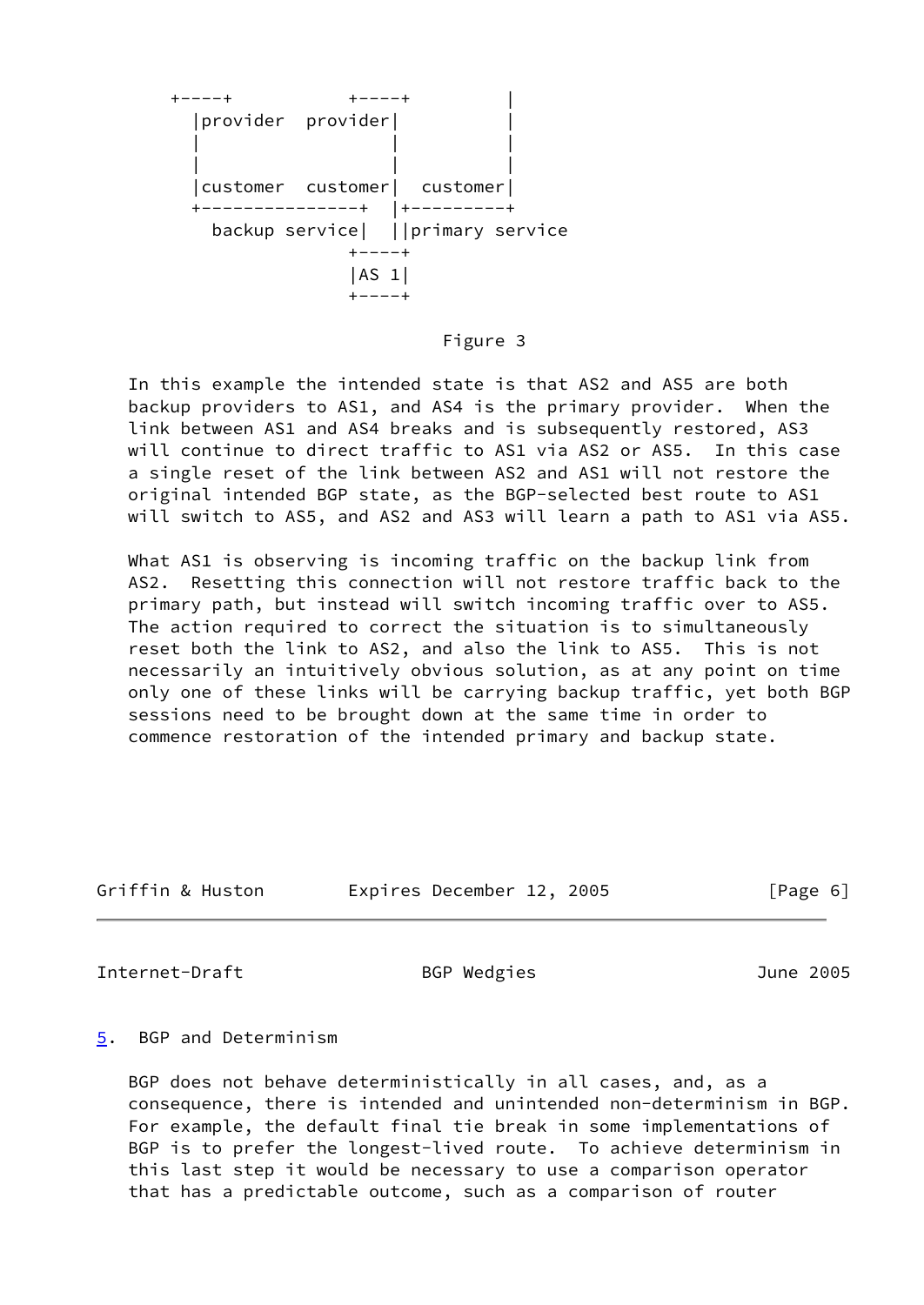

#### Figure 3

 In this example the intended state is that AS2 and AS5 are both backup providers to AS1, and AS4 is the primary provider. When the link between AS1 and AS4 breaks and is subsequently restored, AS3 will continue to direct traffic to AS1 via AS2 or AS5. In this case a single reset of the link between AS2 and AS1 will not restore the original intended BGP state, as the BGP-selected best route to AS1 will switch to AS5, and AS2 and AS3 will learn a path to AS1 via AS5.

What AS1 is observing is incoming traffic on the backup link from AS2. Resetting this connection will not restore traffic back to the primary path, but instead will switch incoming traffic over to AS5. The action required to correct the situation is to simultaneously reset both the link to AS2, and also the link to AS5. This is not necessarily an intuitively obvious solution, as at any point on time only one of these links will be carrying backup traffic, yet both BGP sessions need to be brought down at the same time in order to commence restoration of the intended primary and backup state.

| Griffin & Huston | Expires December 12, 2005 |  | [Page 6] |
|------------------|---------------------------|--|----------|
|                  |                           |  |          |

Internet-Draft BGP Wedgies June 2005

### <span id="page-6-0"></span>[5](#page-6-0). BGP and Determinism

 BGP does not behave deterministically in all cases, and, as a consequence, there is intended and unintended non-determinism in BGP. For example, the default final tie break in some implementations of BGP is to prefer the longest-lived route. To achieve determinism in this last step it would be necessary to use a comparison operator that has a predictable outcome, such as a comparison of router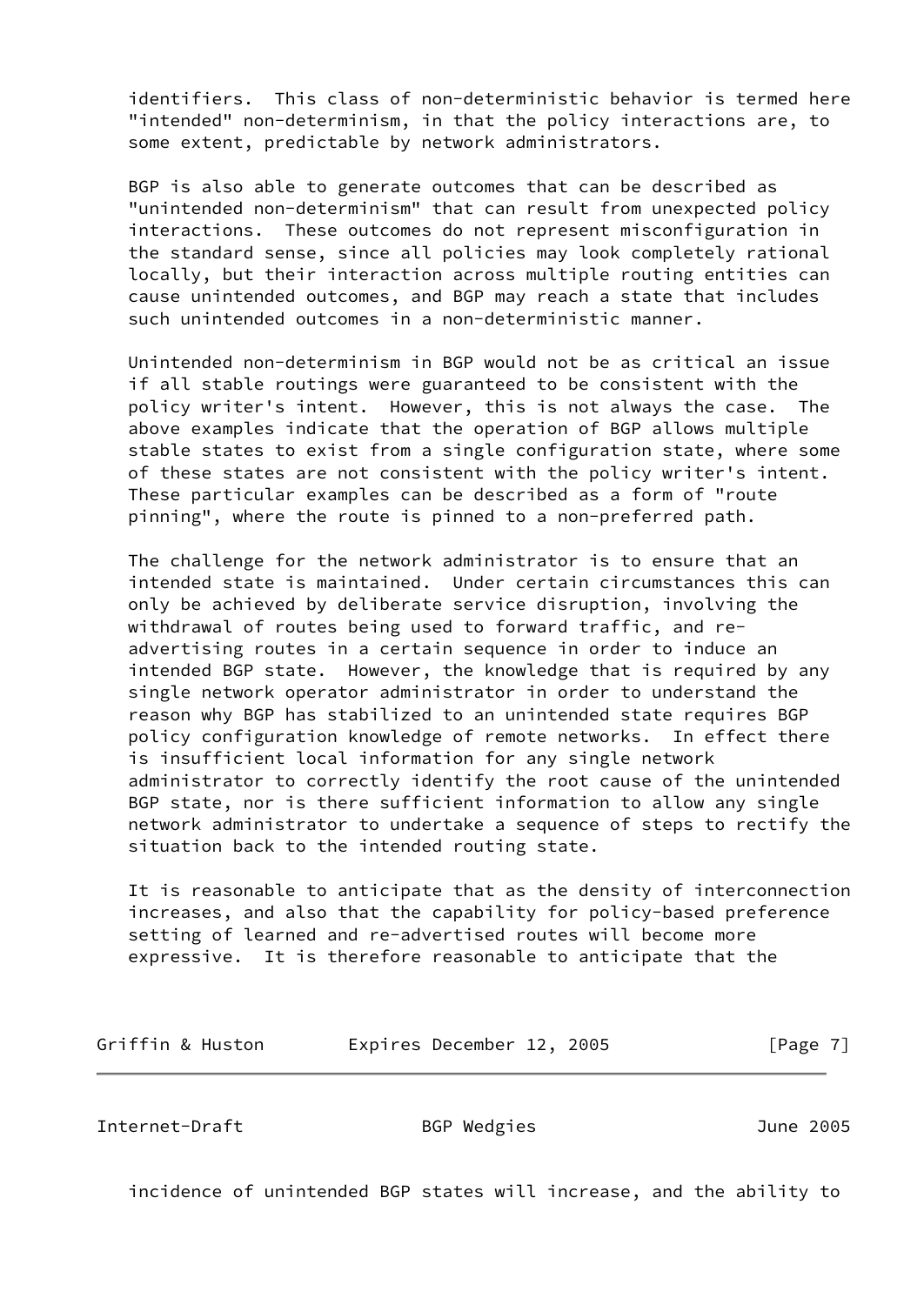identifiers. This class of non-deterministic behavior is termed here "intended" non-determinism, in that the policy interactions are, to some extent, predictable by network administrators.

 BGP is also able to generate outcomes that can be described as "unintended non-determinism" that can result from unexpected policy interactions. These outcomes do not represent misconfiguration in the standard sense, since all policies may look completely rational locally, but their interaction across multiple routing entities can cause unintended outcomes, and BGP may reach a state that includes such unintended outcomes in a non-deterministic manner.

 Unintended non-determinism in BGP would not be as critical an issue if all stable routings were guaranteed to be consistent with the policy writer's intent. However, this is not always the case. The above examples indicate that the operation of BGP allows multiple stable states to exist from a single configuration state, where some of these states are not consistent with the policy writer's intent. These particular examples can be described as a form of "route pinning", where the route is pinned to a non-preferred path.

 The challenge for the network administrator is to ensure that an intended state is maintained. Under certain circumstances this can only be achieved by deliberate service disruption, involving the withdrawal of routes being used to forward traffic, and re advertising routes in a certain sequence in order to induce an intended BGP state. However, the knowledge that is required by any single network operator administrator in order to understand the reason why BGP has stabilized to an unintended state requires BGP policy configuration knowledge of remote networks. In effect there is insufficient local information for any single network administrator to correctly identify the root cause of the unintended BGP state, nor is there sufficient information to allow any single network administrator to undertake a sequence of steps to rectify the situation back to the intended routing state.

 It is reasonable to anticipate that as the density of interconnection increases, and also that the capability for policy-based preference setting of learned and re-advertised routes will become more expressive. It is therefore reasonable to anticipate that the

Griffin & Huston **Expires December 12, 2005** [Page 7]

Internet-Draft BGP Wedgies June 2005

incidence of unintended BGP states will increase, and the ability to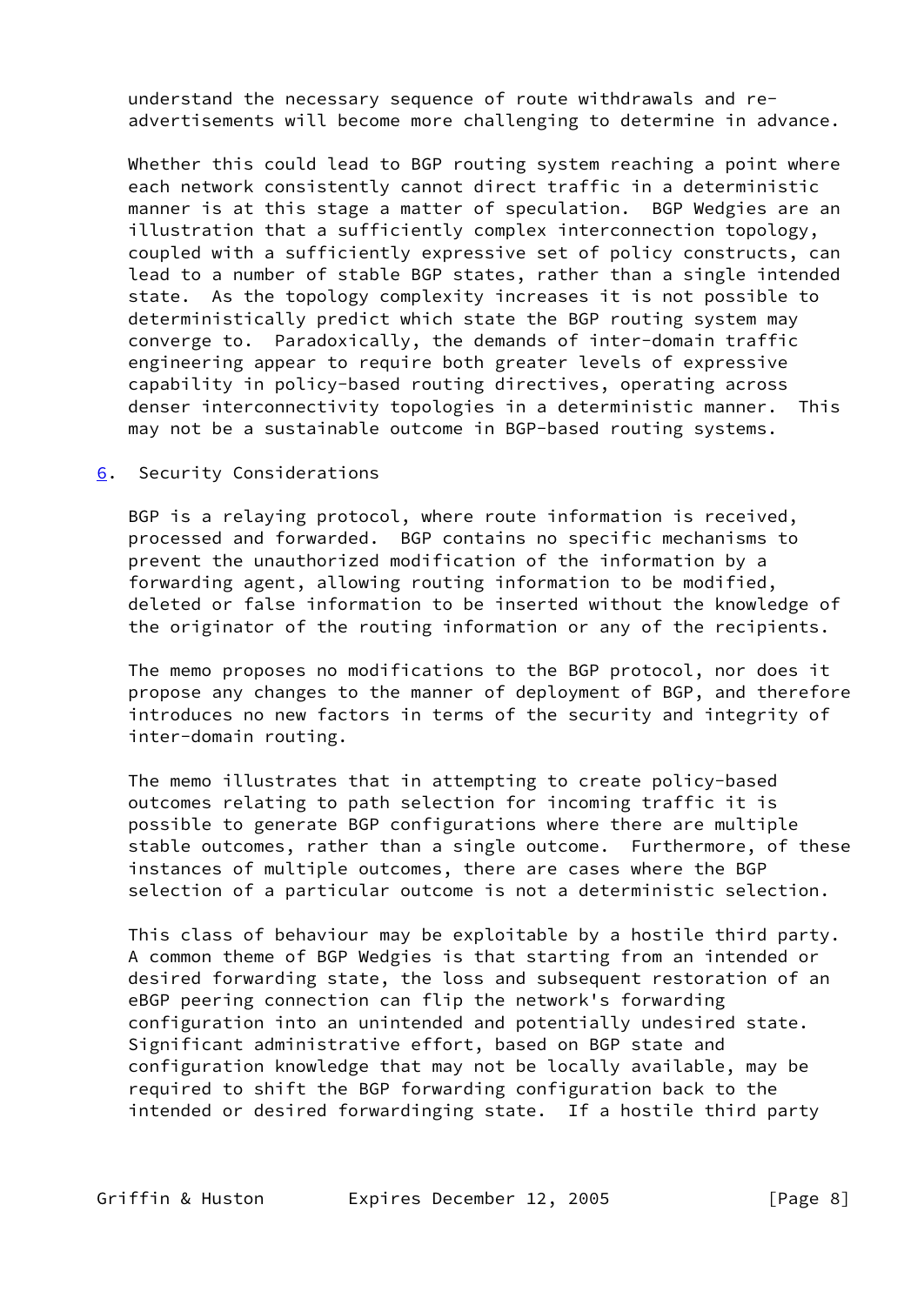understand the necessary sequence of route withdrawals and re advertisements will become more challenging to determine in advance.

 Whether this could lead to BGP routing system reaching a point where each network consistently cannot direct traffic in a deterministic manner is at this stage a matter of speculation. BGP Wedgies are an illustration that a sufficiently complex interconnection topology, coupled with a sufficiently expressive set of policy constructs, can lead to a number of stable BGP states, rather than a single intended state. As the topology complexity increases it is not possible to deterministically predict which state the BGP routing system may converge to. Paradoxically, the demands of inter-domain traffic engineering appear to require both greater levels of expressive capability in policy-based routing directives, operating across denser interconnectivity topologies in a deterministic manner. This may not be a sustainable outcome in BGP-based routing systems.

<span id="page-8-0"></span>[6](#page-8-0). Security Considerations

 BGP is a relaying protocol, where route information is received, processed and forwarded. BGP contains no specific mechanisms to prevent the unauthorized modification of the information by a forwarding agent, allowing routing information to be modified, deleted or false information to be inserted without the knowledge of the originator of the routing information or any of the recipients.

 The memo proposes no modifications to the BGP protocol, nor does it propose any changes to the manner of deployment of BGP, and therefore introduces no new factors in terms of the security and integrity of inter-domain routing.

 The memo illustrates that in attempting to create policy-based outcomes relating to path selection for incoming traffic it is possible to generate BGP configurations where there are multiple stable outcomes, rather than a single outcome. Furthermore, of these instances of multiple outcomes, there are cases where the BGP selection of a particular outcome is not a deterministic selection.

 This class of behaviour may be exploitable by a hostile third party. A common theme of BGP Wedgies is that starting from an intended or desired forwarding state, the loss and subsequent restoration of an eBGP peering connection can flip the network's forwarding configuration into an unintended and potentially undesired state. Significant administrative effort, based on BGP state and configuration knowledge that may not be locally available, may be required to shift the BGP forwarding configuration back to the intended or desired forwardinging state. If a hostile third party

Griffin & Huston **Expires December 12, 2005** [Page 8]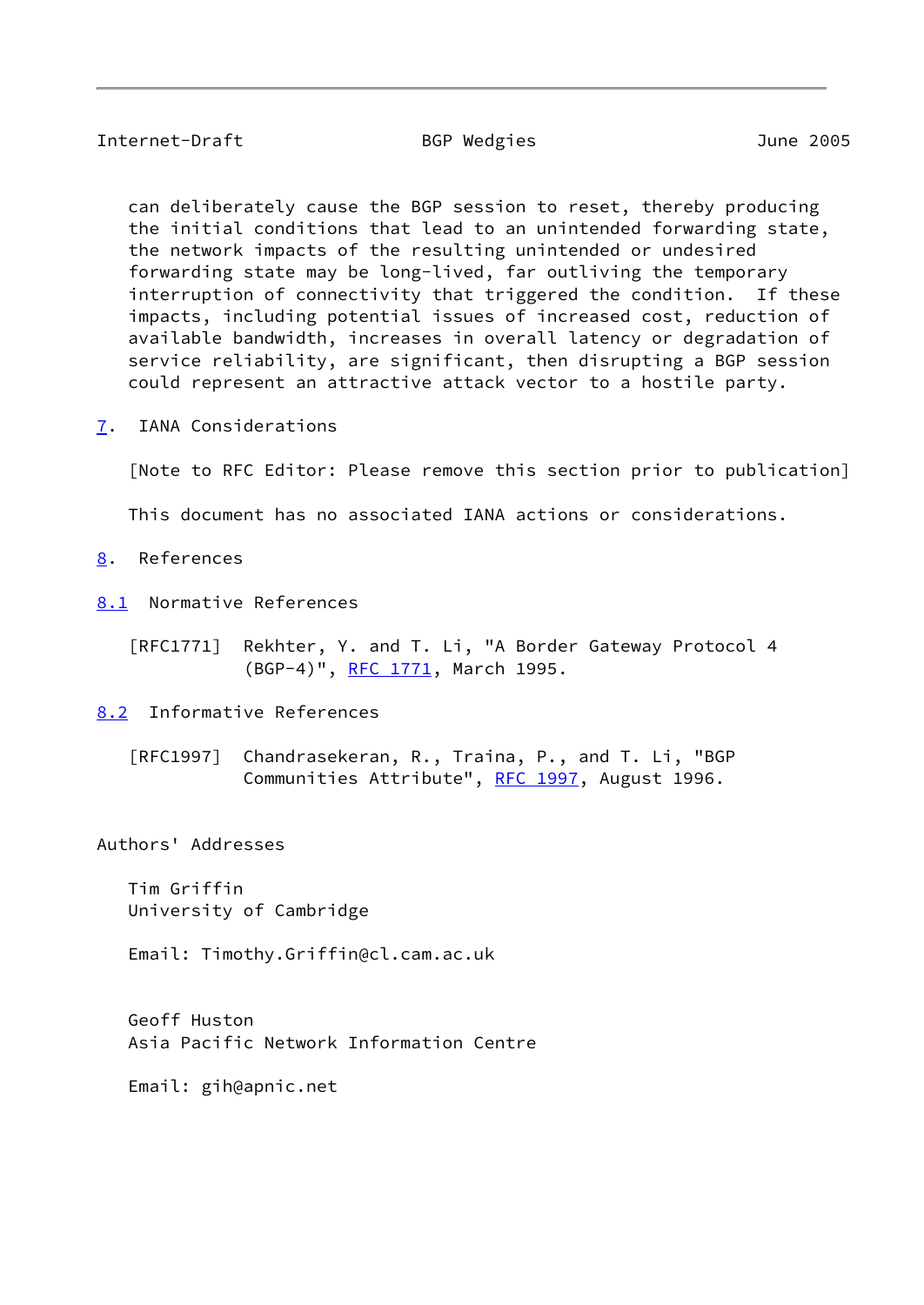## Internet-Draft BGP Wedgies June 2005

 can deliberately cause the BGP session to reset, thereby producing the initial conditions that lead to an unintended forwarding state, the network impacts of the resulting unintended or undesired forwarding state may be long-lived, far outliving the temporary interruption of connectivity that triggered the condition. If these impacts, including potential issues of increased cost, reduction of available bandwidth, increases in overall latency or degradation of service reliability, are significant, then disrupting a BGP session could represent an attractive attack vector to a hostile party.

<span id="page-9-0"></span>[7](#page-9-0). IANA Considerations

[Note to RFC Editor: Please remove this section prior to publication]

This document has no associated IANA actions or considerations.

- <span id="page-9-1"></span>[8](#page-9-1). References
- <span id="page-9-2"></span>[8.1](#page-9-2) Normative References
	- [RFC1771] Rekhter, Y. and T. Li, "A Border Gateway Protocol 4 (BGP-4)", [RFC 1771](https://datatracker.ietf.org/doc/pdf/rfc1771), March 1995.

<span id="page-9-3"></span>[8.2](#page-9-3) Informative References

 [RFC1997] Chandrasekeran, R., Traina, P., and T. Li, "BGP Communities Attribute", [RFC 1997,](https://datatracker.ietf.org/doc/pdf/rfc1997) August 1996.

Authors' Addresses

 Tim Griffin University of Cambridge

Email: Timothy.Griffin@cl.cam.ac.uk

 Geoff Huston Asia Pacific Network Information Centre

Email: gih@apnic.net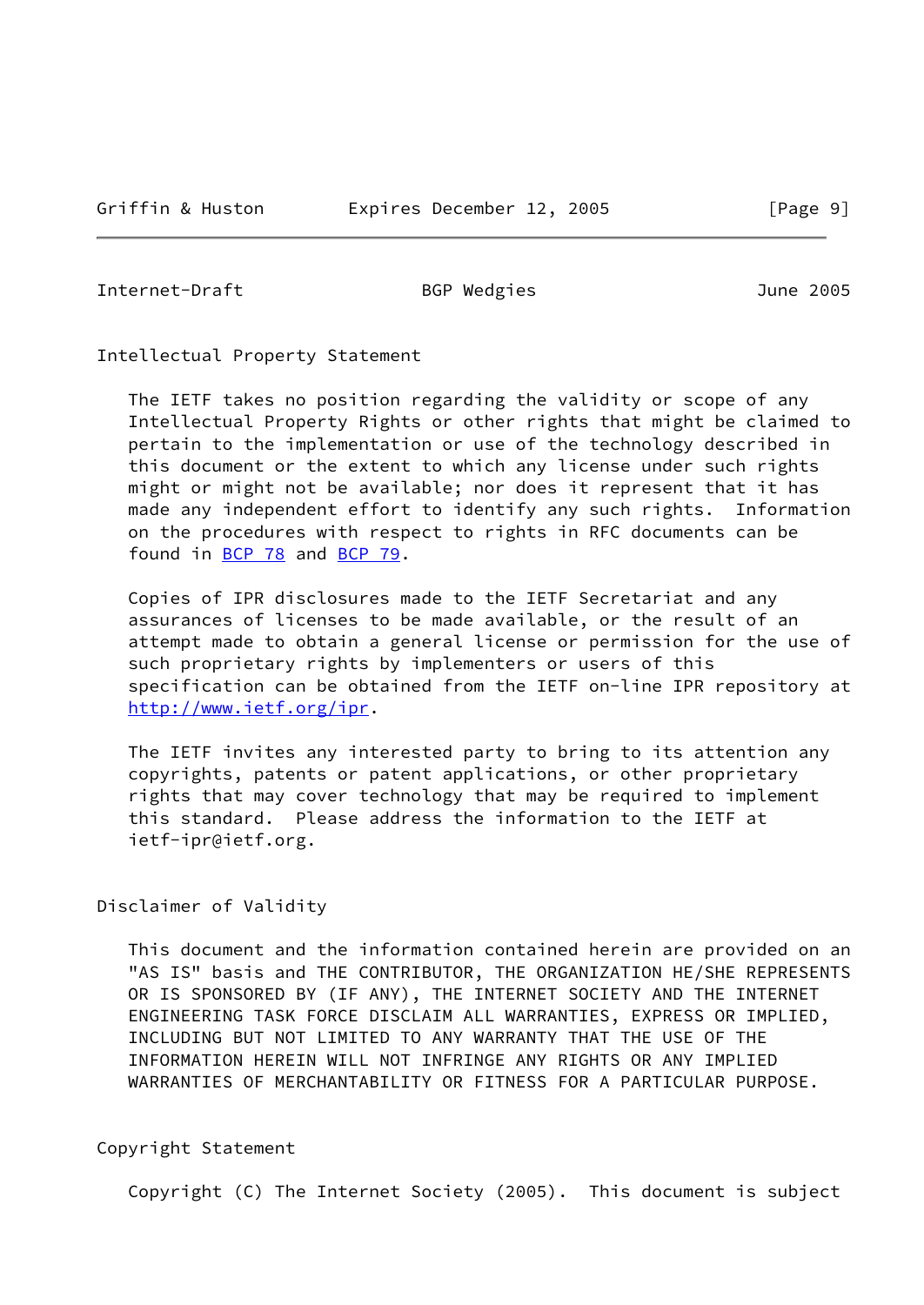Internet-Draft BGP Wedgies June 2005

Intellectual Property Statement

 The IETF takes no position regarding the validity or scope of any Intellectual Property Rights or other rights that might be claimed to pertain to the implementation or use of the technology described in this document or the extent to which any license under such rights might or might not be available; nor does it represent that it has made any independent effort to identify any such rights. Information on the procedures with respect to rights in RFC documents can be found in [BCP 78](https://datatracker.ietf.org/doc/pdf/bcp78) and [BCP 79](https://datatracker.ietf.org/doc/pdf/bcp79).

 Copies of IPR disclosures made to the IETF Secretariat and any assurances of licenses to be made available, or the result of an attempt made to obtain a general license or permission for the use of such proprietary rights by implementers or users of this specification can be obtained from the IETF on-line IPR repository at <http://www.ietf.org/ipr>.

 The IETF invites any interested party to bring to its attention any copyrights, patents or patent applications, or other proprietary rights that may cover technology that may be required to implement this standard. Please address the information to the IETF at ietf-ipr@ietf.org.

Disclaimer of Validity

 This document and the information contained herein are provided on an "AS IS" basis and THE CONTRIBUTOR, THE ORGANIZATION HE/SHE REPRESENTS OR IS SPONSORED BY (IF ANY), THE INTERNET SOCIETY AND THE INTERNET ENGINEERING TASK FORCE DISCLAIM ALL WARRANTIES, EXPRESS OR IMPLIED, INCLUDING BUT NOT LIMITED TO ANY WARRANTY THAT THE USE OF THE INFORMATION HEREIN WILL NOT INFRINGE ANY RIGHTS OR ANY IMPLIED WARRANTIES OF MERCHANTABILITY OR FITNESS FOR A PARTICULAR PURPOSE.

Copyright Statement

Copyright (C) The Internet Society (2005). This document is subject